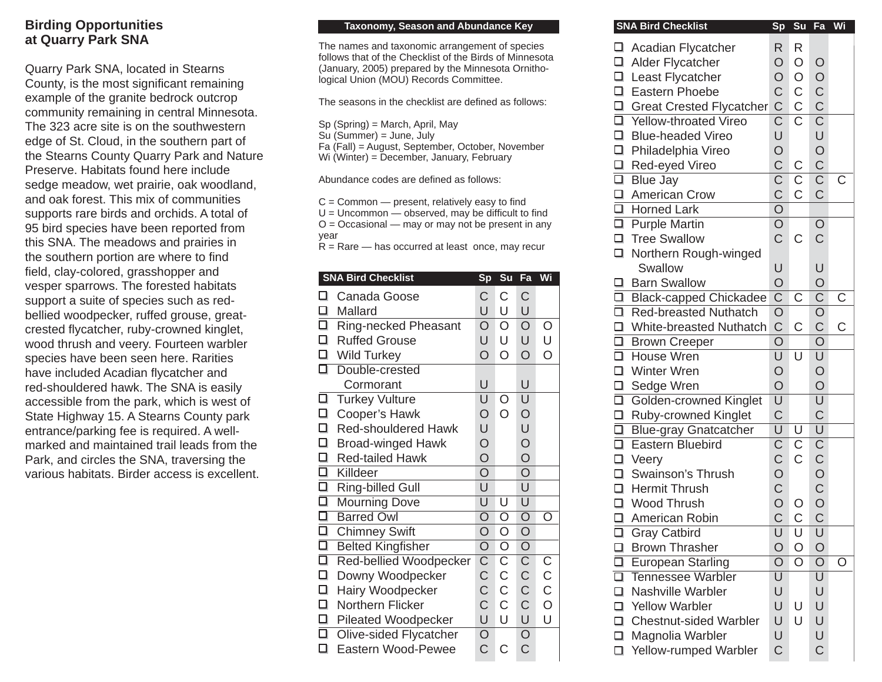## **Birding Opportunities at Quarry Park SNA**

Quarry Park SNA, located in Stearns County, is the most significant remaining example of the granite bedrock outcrop community remaining in central Minnesota. The 323 acre site is on the southwestern edge of St. Cloud, in the southern part of the Stearns County Quarry Park and Nature Preserve. Habitats found here include sedge meadow, wet prairie, oak woodland, and oak forest. This mix of communities supports rare birds and orchids. A total of 95 bird species have been reported from this SNA. The meadows and prairies in the southern portion are where to find field, clay-colored, grasshopper and vesper sparrows. The forested habitats support a suite of species such as redbellied woodpecker, ruffed grouse, greatcrested flycatcher, ruby-crowned kinglet, wood thrush and veery. Fourteen warbler species have been seen here. Rarities have included Acadian flycatcher and red-shouldered hawk. The SNA is easily accessible from the park, which is west of State Highway 15. A Stearns County park entrance/parking fee is required. A wellmarked and maintained trail leads from the Park, and circles the SNA, traversing the various habitats. Birder access is excellent.

## **Taxonomy, Season and Abundance Key**

The names and taxonomic arrangement of species follows that of the Checklist of the Birds of Minnesota (January, 2005) prepared by the Minnesota Ornithological Union (MOU) Records Committee.

The seasons in the checklist are defined as follows:

Sp (Spring) = March, April, May

Su (Summer) = June, July

Fa (Fall) = August, September, October, November

Wi (Winter) = December, January, February

Abundance codes are defined as follows:

 $C =$  Common  $-$  present, relatively easy to find  $U =$  Uncommon  $-$  observed, may be difficult to find  $O = Occasional$  — may or may not be present in any year

 $R =$ Rare — has occurred at least once, may recur

| <b>SNA Bird Checklist</b>                             |                         | Su                      | Fa                      | Wi               |
|-------------------------------------------------------|-------------------------|-------------------------|-------------------------|------------------|
| ℶ<br>Canada Goose                                     | C                       | C                       | C                       |                  |
| $\Box$<br>Mallard                                     |                         | U                       | U                       |                  |
| П<br>Ring-necked Pheasant                             | $\circ$                 | $\circ$                 | $\overline{O}$          | O                |
| О<br><b>Ruffed Grouse</b>                             | U                       | U                       | U                       | U                |
| $\Box$<br><b>Wild Turkey</b>                          | $\overline{O}$          | O                       | $\overline{O}$          | $\overline{O}$   |
| Double-crested                                        | ⊡                       |                         |                         |                  |
| Cormorant                                             | U                       |                         | U                       |                  |
| □<br><b>Turkey Vulture</b>                            | U                       | O                       | U                       |                  |
| □<br>Cooper's Hawk                                    | O                       | O                       | $\circ$                 |                  |
| $\Box$<br><b>Red-shouldered Hawk</b>                  | U                       |                         | U                       |                  |
| $\Box$<br><b>Broad-winged Hawk</b>                    | $\circ$                 |                         | $\frac{0}{0}$           |                  |
| $\Box$<br><b>Red-tailed Hawk</b>                      | $\overline{O}$          |                         |                         |                  |
| $\overline{\square}$<br>Killdeer                      | $\overline{\mathsf{O}}$ |                         | $\overline{\mathsf{O}}$ |                  |
| $\frac{\square}{\square}$<br><b>Ring-billed Gull</b>  | U                       |                         | U                       |                  |
| <b>Mourning Dove</b>                                  | U                       | U                       | U                       |                  |
| $\Box$<br><b>Barred Owl</b>                           | $\overline{\mathsf{O}}$ | $\overline{\mathsf{O}}$ | $\overline{O}$          | O                |
| $\overline{\square}$<br><b>Chimney Swift</b>          | O                       | $\circ$                 | $\bigcirc$              |                  |
| $\frac{\square}{\square}$<br><b>Belted Kingfisher</b> | $\overline{\mathsf{O}}$ | $\overline{\mathsf{O}}$ | $\overline{O}$          |                  |
| <b>Red-bellied Woodpecker</b>                         | $\overline{\text{C}}$   | $\overline{\mathsf{C}}$ | $\overline{\mathsf{C}}$ | C<br>C<br>C<br>O |
| $\Box$<br>Downy Woodpecker                            | C                       | $\mathsf C$             | $\overline{c}$          |                  |
| $\Box$<br>Hairy Woodpecker                            | $\overline{C}$          | $\mathsf{C}$            |                         |                  |
| $\Box$<br>Northern Flicker                            | Ć                       | $\mathsf{C}$            | $\overline{C}$          |                  |
| □<br><b>Pileated Woodpecker</b>                       | U                       | U                       | U                       | U                |
| $\overline{\square}$<br>Olive-sided Flycatcher        | $\overline{O}$          |                         | $\overline{O}$          |                  |
| ❏<br><b>Eastern Wood-Pewee</b>                        | C                       | C                       | $\overline{C}$          |                  |

| Sp | Su                                                                                                                                                                                                                                                                                                                                                                                                                                                                                                                                                                                                                                                           | Fa                                                                                                                                                                                                                                                             | Wi                                                                                                                                                                                                                                                                                                                                                                                 |
|----|--------------------------------------------------------------------------------------------------------------------------------------------------------------------------------------------------------------------------------------------------------------------------------------------------------------------------------------------------------------------------------------------------------------------------------------------------------------------------------------------------------------------------------------------------------------------------------------------------------------------------------------------------------------|----------------------------------------------------------------------------------------------------------------------------------------------------------------------------------------------------------------------------------------------------------------|------------------------------------------------------------------------------------------------------------------------------------------------------------------------------------------------------------------------------------------------------------------------------------------------------------------------------------------------------------------------------------|
|    |                                                                                                                                                                                                                                                                                                                                                                                                                                                                                                                                                                                                                                                              |                                                                                                                                                                                                                                                                |                                                                                                                                                                                                                                                                                                                                                                                    |
|    |                                                                                                                                                                                                                                                                                                                                                                                                                                                                                                                                                                                                                                                              |                                                                                                                                                                                                                                                                |                                                                                                                                                                                                                                                                                                                                                                                    |
|    |                                                                                                                                                                                                                                                                                                                                                                                                                                                                                                                                                                                                                                                              |                                                                                                                                                                                                                                                                |                                                                                                                                                                                                                                                                                                                                                                                    |
|    |                                                                                                                                                                                                                                                                                                                                                                                                                                                                                                                                                                                                                                                              |                                                                                                                                                                                                                                                                |                                                                                                                                                                                                                                                                                                                                                                                    |
|    |                                                                                                                                                                                                                                                                                                                                                                                                                                                                                                                                                                                                                                                              |                                                                                                                                                                                                                                                                |                                                                                                                                                                                                                                                                                                                                                                                    |
|    |                                                                                                                                                                                                                                                                                                                                                                                                                                                                                                                                                                                                                                                              |                                                                                                                                                                                                                                                                |                                                                                                                                                                                                                                                                                                                                                                                    |
|    |                                                                                                                                                                                                                                                                                                                                                                                                                                                                                                                                                                                                                                                              |                                                                                                                                                                                                                                                                |                                                                                                                                                                                                                                                                                                                                                                                    |
|    |                                                                                                                                                                                                                                                                                                                                                                                                                                                                                                                                                                                                                                                              |                                                                                                                                                                                                                                                                |                                                                                                                                                                                                                                                                                                                                                                                    |
|    |                                                                                                                                                                                                                                                                                                                                                                                                                                                                                                                                                                                                                                                              |                                                                                                                                                                                                                                                                |                                                                                                                                                                                                                                                                                                                                                                                    |
|    |                                                                                                                                                                                                                                                                                                                                                                                                                                                                                                                                                                                                                                                              |                                                                                                                                                                                                                                                                | C                                                                                                                                                                                                                                                                                                                                                                                  |
|    |                                                                                                                                                                                                                                                                                                                                                                                                                                                                                                                                                                                                                                                              |                                                                                                                                                                                                                                                                |                                                                                                                                                                                                                                                                                                                                                                                    |
|    |                                                                                                                                                                                                                                                                                                                                                                                                                                                                                                                                                                                                                                                              |                                                                                                                                                                                                                                                                |                                                                                                                                                                                                                                                                                                                                                                                    |
|    |                                                                                                                                                                                                                                                                                                                                                                                                                                                                                                                                                                                                                                                              |                                                                                                                                                                                                                                                                |                                                                                                                                                                                                                                                                                                                                                                                    |
|    |                                                                                                                                                                                                                                                                                                                                                                                                                                                                                                                                                                                                                                                              |                                                                                                                                                                                                                                                                |                                                                                                                                                                                                                                                                                                                                                                                    |
|    |                                                                                                                                                                                                                                                                                                                                                                                                                                                                                                                                                                                                                                                              |                                                                                                                                                                                                                                                                |                                                                                                                                                                                                                                                                                                                                                                                    |
|    |                                                                                                                                                                                                                                                                                                                                                                                                                                                                                                                                                                                                                                                              |                                                                                                                                                                                                                                                                |                                                                                                                                                                                                                                                                                                                                                                                    |
|    |                                                                                                                                                                                                                                                                                                                                                                                                                                                                                                                                                                                                                                                              |                                                                                                                                                                                                                                                                |                                                                                                                                                                                                                                                                                                                                                                                    |
|    |                                                                                                                                                                                                                                                                                                                                                                                                                                                                                                                                                                                                                                                              |                                                                                                                                                                                                                                                                |                                                                                                                                                                                                                                                                                                                                                                                    |
|    |                                                                                                                                                                                                                                                                                                                                                                                                                                                                                                                                                                                                                                                              |                                                                                                                                                                                                                                                                | C                                                                                                                                                                                                                                                                                                                                                                                  |
|    |                                                                                                                                                                                                                                                                                                                                                                                                                                                                                                                                                                                                                                                              |                                                                                                                                                                                                                                                                |                                                                                                                                                                                                                                                                                                                                                                                    |
|    |                                                                                                                                                                                                                                                                                                                                                                                                                                                                                                                                                                                                                                                              |                                                                                                                                                                                                                                                                | C                                                                                                                                                                                                                                                                                                                                                                                  |
|    |                                                                                                                                                                                                                                                                                                                                                                                                                                                                                                                                                                                                                                                              |                                                                                                                                                                                                                                                                |                                                                                                                                                                                                                                                                                                                                                                                    |
|    |                                                                                                                                                                                                                                                                                                                                                                                                                                                                                                                                                                                                                                                              |                                                                                                                                                                                                                                                                |                                                                                                                                                                                                                                                                                                                                                                                    |
|    |                                                                                                                                                                                                                                                                                                                                                                                                                                                                                                                                                                                                                                                              |                                                                                                                                                                                                                                                                |                                                                                                                                                                                                                                                                                                                                                                                    |
|    |                                                                                                                                                                                                                                                                                                                                                                                                                                                                                                                                                                                                                                                              |                                                                                                                                                                                                                                                                |                                                                                                                                                                                                                                                                                                                                                                                    |
|    |                                                                                                                                                                                                                                                                                                                                                                                                                                                                                                                                                                                                                                                              |                                                                                                                                                                                                                                                                |                                                                                                                                                                                                                                                                                                                                                                                    |
|    |                                                                                                                                                                                                                                                                                                                                                                                                                                                                                                                                                                                                                                                              |                                                                                                                                                                                                                                                                |                                                                                                                                                                                                                                                                                                                                                                                    |
|    |                                                                                                                                                                                                                                                                                                                                                                                                                                                                                                                                                                                                                                                              |                                                                                                                                                                                                                                                                |                                                                                                                                                                                                                                                                                                                                                                                    |
|    |                                                                                                                                                                                                                                                                                                                                                                                                                                                                                                                                                                                                                                                              |                                                                                                                                                                                                                                                                |                                                                                                                                                                                                                                                                                                                                                                                    |
|    |                                                                                                                                                                                                                                                                                                                                                                                                                                                                                                                                                                                                                                                              |                                                                                                                                                                                                                                                                |                                                                                                                                                                                                                                                                                                                                                                                    |
|    |                                                                                                                                                                                                                                                                                                                                                                                                                                                                                                                                                                                                                                                              |                                                                                                                                                                                                                                                                |                                                                                                                                                                                                                                                                                                                                                                                    |
|    |                                                                                                                                                                                                                                                                                                                                                                                                                                                                                                                                                                                                                                                              |                                                                                                                                                                                                                                                                |                                                                                                                                                                                                                                                                                                                                                                                    |
|    |                                                                                                                                                                                                                                                                                                                                                                                                                                                                                                                                                                                                                                                              |                                                                                                                                                                                                                                                                |                                                                                                                                                                                                                                                                                                                                                                                    |
|    |                                                                                                                                                                                                                                                                                                                                                                                                                                                                                                                                                                                                                                                              |                                                                                                                                                                                                                                                                |                                                                                                                                                                                                                                                                                                                                                                                    |
|    |                                                                                                                                                                                                                                                                                                                                                                                                                                                                                                                                                                                                                                                              |                                                                                                                                                                                                                                                                |                                                                                                                                                                                                                                                                                                                                                                                    |
|    |                                                                                                                                                                                                                                                                                                                                                                                                                                                                                                                                                                                                                                                              |                                                                                                                                                                                                                                                                |                                                                                                                                                                                                                                                                                                                                                                                    |
|    |                                                                                                                                                                                                                                                                                                                                                                                                                                                                                                                                                                                                                                                              |                                                                                                                                                                                                                                                                | O                                                                                                                                                                                                                                                                                                                                                                                  |
|    |                                                                                                                                                                                                                                                                                                                                                                                                                                                                                                                                                                                                                                                              |                                                                                                                                                                                                                                                                |                                                                                                                                                                                                                                                                                                                                                                                    |
| U  |                                                                                                                                                                                                                                                                                                                                                                                                                                                                                                                                                                                                                                                              | U                                                                                                                                                                                                                                                              |                                                                                                                                                                                                                                                                                                                                                                                    |
| U  | U                                                                                                                                                                                                                                                                                                                                                                                                                                                                                                                                                                                                                                                            | U                                                                                                                                                                                                                                                              |                                                                                                                                                                                                                                                                                                                                                                                    |
| U  | U                                                                                                                                                                                                                                                                                                                                                                                                                                                                                                                                                                                                                                                            | U                                                                                                                                                                                                                                                              |                                                                                                                                                                                                                                                                                                                                                                                    |
| U  |                                                                                                                                                                                                                                                                                                                                                                                                                                                                                                                                                                                                                                                              | U                                                                                                                                                                                                                                                              |                                                                                                                                                                                                                                                                                                                                                                                    |
|    |                                                                                                                                                                                                                                                                                                                                                                                                                                                                                                                                                                                                                                                              |                                                                                                                                                                                                                                                                |                                                                                                                                                                                                                                                                                                                                                                                    |
|    | R.<br>$\bigcirc$<br>$\bigcirc$<br>$\mathsf C$<br>□ Great Crested Flycatcher<br>□ Yellow-throated Vireo<br>$\mathsf C$<br>$\overline{\text{C}}$<br>U<br>$\circ$<br>$\overline{C}$<br>$\overline{\mathsf{C}}$<br>$\mathsf C$<br>$\overline{O}$<br>$\overline{O}$<br>$\overline{C}$<br>U<br>$\circ$<br>$\overline{\text{C}}$<br>$\overline{O}$<br>$\mathsf C$<br>$\overline{O}$<br>$\overline{\mathsf{U}}$<br>$\circ$<br>$\overline{O}$<br>$\overline{\mathsf{U}}$<br>$\mathsf C$<br>$\overline{\mathsf{U}}$<br>$\overline{\mathrm{C}}$<br>C<br>O<br>C<br>O<br>$\overline{C}$<br>U<br>$\overline{O}$<br>$\overline{\mathsf{O}}$<br>$\overline{\mathsf{U}}$<br>Ċ | R<br>$\circ$<br>$\bigcirc$<br>C<br>$\overline{\mathsf{C}}$<br>$\mathsf C$<br>C<br>$\overline{C}$<br>C<br>$\overline{\mathsf{U}}$<br>$\overline{\mathsf{U}}$<br>$\overline{C}$<br>$\overline{C}$<br>O<br>$\mathsf C$<br>U<br>$\circ$<br>$\overline{\mathsf{O}}$ | $\circ$<br>OCCUOCIC<br>C<br>C<br>C<br>C<br>C<br>C<br>$rac{C}{C}$<br>$\mathsf C$<br>$\circ$<br>$\overline{C}$<br>U<br>$\circ$<br>$\frac{\overline{C}}{\overline{O}}$<br>$\mathsf C$<br>$\overline{O}$<br>$\frac{1}{\sqrt{2}}$<br>$\overline{\mathsf{U}}$<br>$\mathsf{C}$<br>$\overline{\mathsf{U}}$<br>CCCCCCC<br>U<br>O<br>$\overline{\mathsf{O}}$<br>$\overline{\mathsf{U}}$<br>Ć |